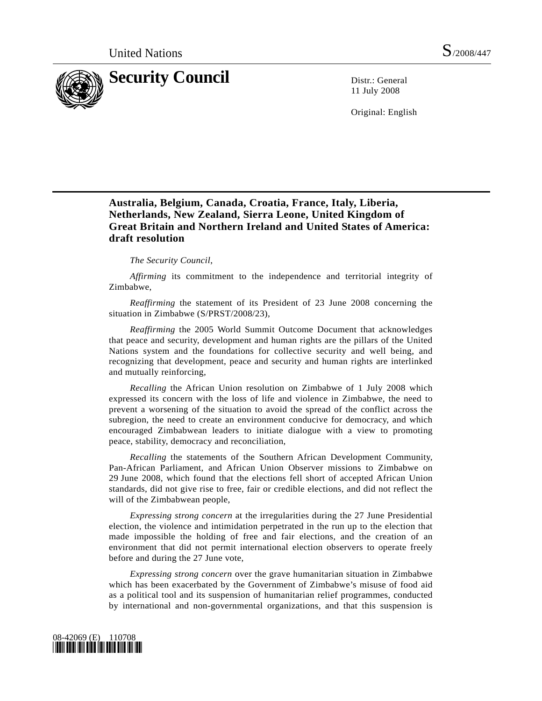

11 July 2008

Original: English

## **Australia, Belgium, Canada, Croatia, France, Italy, Liberia, Netherlands, New Zealand, Sierra Leone, United Kingdom of Great Britain and Northern Ireland and United States of America: draft resolution**

## *The Security Council*,

*Affirming* its commitment to the independence and territorial integrity of Zimbabwe,

*Reaffirming* the statement of its President of 23 June 2008 concerning the situation in Zimbabwe (S/PRST/2008/23),

*Reaffirming* the 2005 World Summit Outcome Document that acknowledges that peace and security, development and human rights are the pillars of the United Nations system and the foundations for collective security and well being, and recognizing that development, peace and security and human rights are interlinked and mutually reinforcing,

*Recalling* the African Union resolution on Zimbabwe of 1 July 2008 which expressed its concern with the loss of life and violence in Zimbabwe, the need to prevent a worsening of the situation to avoid the spread of the conflict across the subregion, the need to create an environment conducive for democracy, and which encouraged Zimbabwean leaders to initiate dialogue with a view to promoting peace, stability, democracy and reconciliation,

*Recalling* the statements of the Southern African Development Community, Pan-African Parliament, and African Union Observer missions to Zimbabwe on 29 June 2008, which found that the elections fell short of accepted African Union standards, did not give rise to free, fair or credible elections, and did not reflect the will of the Zimbabwean people,

*Expressing strong concern* at the irregularities during the 27 June Presidential election, the violence and intimidation perpetrated in the run up to the election that made impossible the holding of free and fair elections, and the creation of an environment that did not permit international election observers to operate freely before and during the 27 June vote,

*Expressing strong concern* over the grave humanitarian situation in Zimbabwe which has been exacerbated by the Government of Zimbabwe's misuse of food aid as a political tool and its suspension of humanitarian relief programmes, conducted by international and non-governmental organizations, and that this suspension is

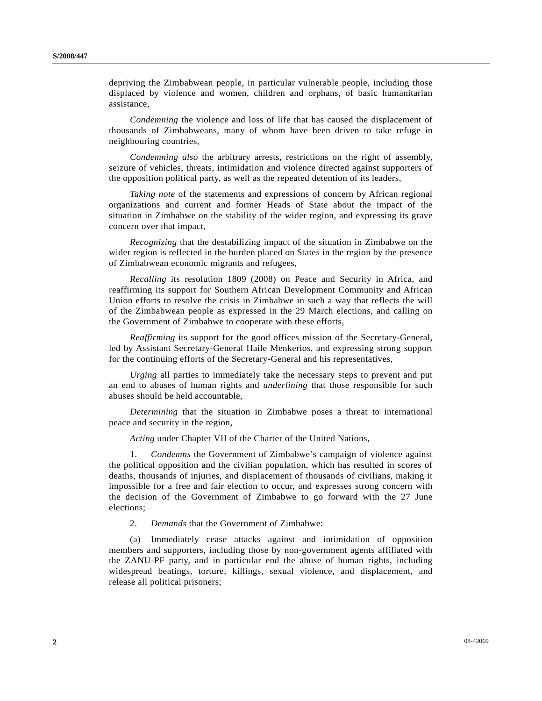depriving the Zimbabwean people, in particular vulnerable people, including those displaced by violence and women, children and orphans, of basic humanitarian assistance,

*Condemning* the violence and loss of life that has caused the displacement of thousands of Zimbabweans, many of whom have been driven to take refuge in neighbouring countries,

*Condemning also* the arbitrary arrests, restrictions on the right of assembly, seizure of vehicles, threats, intimidation and violence directed against supporters of the opposition political party, as well as the repeated detention of its leaders,

*Taking note* of the statements and expressions of concern by African regional organizations and current and former Heads of State about the impact of the situation in Zimbabwe on the stability of the wider region, and expressing its grave concern over that impact,

*Recognizing* that the destabilizing impact of the situation in Zimbabwe on the wider region is reflected in the burden placed on States in the region by the presence of Zimbabwean economic migrants and refugees,

*Recalling* its resolution 1809 (2008) on Peace and Security in Africa, and reaffirming its support for Southern African Development Community and African Union efforts to resolve the crisis in Zimbabwe in such a way that reflects the will of the Zimbabwean people as expressed in the 29 March elections, and calling on the Government of Zimbabwe to cooperate with these efforts,

*Reaffirming* its support for the good offices mission of the Secretary-General, led by Assistant Secretary-General Haile Menkerios, and expressing strong support for the continuing efforts of the Secretary-General and his representatives,

*Urging* all parties to immediately take the necessary steps to prevent and put an end to abuses of human rights and *underlining* that those responsible for such abuses should be held accountable,

*Determining* that the situation in Zimbabwe poses a threat to international peace and security in the region,

*Acting* under Chapter VII of the Charter of the United Nations,

 1. *Condemns* the Government of Zimbabwe's campaign of violence against the political opposition and the civilian population, which has resulted in scores of deaths, thousands of injuries, and displacement of thousands of civilians, making it impossible for a free and fair election to occur, and expresses strong concern with the decision of the Government of Zimbabwe to go forward with the 27 June elections;

2. *Demands* that the Government of Zimbabwe:

 (a) Immediately cease attacks against and intimidation of opposition members and supporters, including those by non-government agents affiliated with the ZANU-PF party, and in particular end the abuse of human rights, including widespread beatings, torture, killings, sexual violence, and displacement, and release all political prisoners;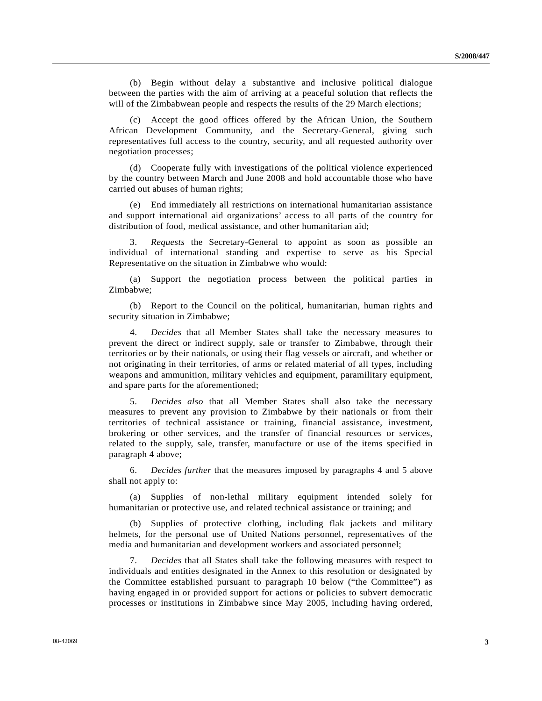(b) Begin without delay a substantive and inclusive political dialogue between the parties with the aim of arriving at a peaceful solution that reflects the will of the Zimbabwean people and respects the results of the 29 March elections;

 (c) Accept the good offices offered by the African Union, the Southern African Development Community, and the Secretary-General, giving such representatives full access to the country, security, and all requested authority over negotiation processes;

 (d) Cooperate fully with investigations of the political violence experienced by the country between March and June 2008 and hold accountable those who have carried out abuses of human rights;

 (e) End immediately all restrictions on international humanitarian assistance and support international aid organizations' access to all parts of the country for distribution of food, medical assistance, and other humanitarian aid;

 3. *Requests* the Secretary-General to appoint as soon as possible an individual of international standing and expertise to serve as his Special Representative on the situation in Zimbabwe who would:

 (a) Support the negotiation process between the political parties in Zimbabwe;

 (b) Report to the Council on the political, humanitarian, human rights and security situation in Zimbabwe;

 4. *Decides* that all Member States shall take the necessary measures to prevent the direct or indirect supply, sale or transfer to Zimbabwe, through their territories or by their nationals, or using their flag vessels or aircraft, and whether or not originating in their territories, of arms or related material of all types, including weapons and ammunition, military vehicles and equipment, paramilitary equipment, and spare parts for the aforementioned;

 5. *Decides also* that all Member States shall also take the necessary measures to prevent any provision to Zimbabwe by their nationals or from their territories of technical assistance or training, financial assistance, investment, brokering or other services, and the transfer of financial resources or services, related to the supply, sale, transfer, manufacture or use of the items specified in paragraph 4 above;

 6. *Decides further* that the measures imposed by paragraphs 4 and 5 above shall not apply to:

 (a) Supplies of non-lethal military equipment intended solely for humanitarian or protective use, and related technical assistance or training; and

 (b) Supplies of protective clothing, including flak jackets and military helmets, for the personal use of United Nations personnel, representatives of the media and humanitarian and development workers and associated personnel;

 7. *Decides* that all States shall take the following measures with respect to individuals and entities designated in the Annex to this resolution or designated by the Committee established pursuant to paragraph 10 below ("the Committee") as having engaged in or provided support for actions or policies to subvert democratic processes or institutions in Zimbabwe since May 2005, including having ordered,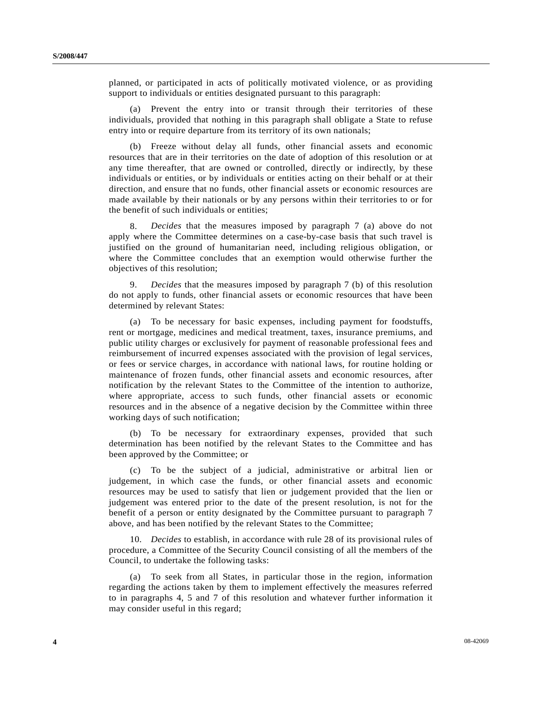planned, or participated in acts of politically motivated violence, or as providing support to individuals or entities designated pursuant to this paragraph:

 (a) Prevent the entry into or transit through their territories of these individuals, provided that nothing in this paragraph shall obligate a State to refuse entry into or require departure from its territory of its own nationals;

 (b) Freeze without delay all funds, other financial assets and economic resources that are in their territories on the date of adoption of this resolution or at any time thereafter, that are owned or controlled, directly or indirectly, by these individuals or entities, or by individuals or entities acting on their behalf or at their direction, and ensure that no funds, other financial assets or economic resources are made available by their nationals or by any persons within their territories to or for the benefit of such individuals or entities;

 8. *Decides* that the measures imposed by paragraph 7 (a) above do not apply where the Committee determines on a case-by-case basis that such travel is justified on the ground of humanitarian need, including religious obligation, or where the Committee concludes that an exemption would otherwise further the objectives of this resolution;

 9. *Decides* that the measures imposed by paragraph 7 (b) of this resolution do not apply to funds, other financial assets or economic resources that have been determined by relevant States:

 (a) To be necessary for basic expenses, including payment for foodstuffs, rent or mortgage, medicines and medical treatment, taxes, insurance premiums, and public utility charges or exclusively for payment of reasonable professional fees and reimbursement of incurred expenses associated with the provision of legal services, or fees or service charges, in accordance with national laws, for routine holding or maintenance of frozen funds, other financial assets and economic resources, after notification by the relevant States to the Committee of the intention to authorize, where appropriate, access to such funds, other financial assets or economic resources and in the absence of a negative decision by the Committee within three working days of such notification;

 (b) To be necessary for extraordinary expenses, provided that such determination has been notified by the relevant States to the Committee and has been approved by the Committee; or

 (c) To be the subject of a judicial, administrative or arbitral lien or judgement, in which case the funds, or other financial assets and economic resources may be used to satisfy that lien or judgement provided that the lien or judgement was entered prior to the date of the present resolution, is not for the benefit of a person or entity designated by the Committee pursuant to paragraph 7 above, and has been notified by the relevant States to the Committee;

 10. *Decides* to establish, in accordance with rule 28 of its provisional rules of procedure, a Committee of the Security Council consisting of all the members of the Council, to undertake the following tasks:

 (a) To seek from all States, in particular those in the region, information regarding the actions taken by them to implement effectively the measures referred to in paragraphs 4, 5 and 7 of this resolution and whatever further information it may consider useful in this regard;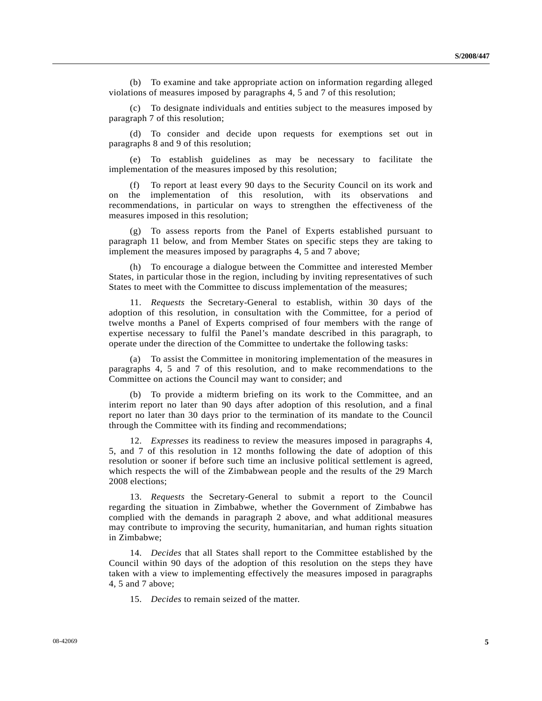(b) To examine and take appropriate action on information regarding alleged violations of measures imposed by paragraphs 4, 5 and 7 of this resolution;

 (c) To designate individuals and entities subject to the measures imposed by paragraph 7 of this resolution;

 (d) To consider and decide upon requests for exemptions set out in paragraphs 8 and 9 of this resolution;

 (e) To establish guidelines as may be necessary to facilitate the implementation of the measures imposed by this resolution;

 (f) To report at least every 90 days to the Security Council on its work and on the implementation of this resolution, with its observations and recommendations, in particular on ways to strengthen the effectiveness of the measures imposed in this resolution;

 (g) To assess reports from the Panel of Experts established pursuant to paragraph 11 below, and from Member States on specific steps they are taking to implement the measures imposed by paragraphs 4, 5 and 7 above;

 (h) To encourage a dialogue between the Committee and interested Member States, in particular those in the region, including by inviting representatives of such States to meet with the Committee to discuss implementation of the measures;

 11. *Requests* the Secretary-General to establish, within 30 days of the adoption of this resolution, in consultation with the Committee, for a period of twelve months a Panel of Experts comprised of four members with the range of expertise necessary to fulfil the Panel's mandate described in this paragraph, to operate under the direction of the Committee to undertake the following tasks:

 (a) To assist the Committee in monitoring implementation of the measures in paragraphs 4, 5 and 7 of this resolution, and to make recommendations to the Committee on actions the Council may want to consider; and

 (b) To provide a midterm briefing on its work to the Committee, and an interim report no later than 90 days after adoption of this resolution, and a final report no later than 30 days prior to the termination of its mandate to the Council through the Committee with its finding and recommendations;

 12. *Expresses* its readiness to review the measures imposed in paragraphs 4, 5, and 7 of this resolution in 12 months following the date of adoption of this resolution or sooner if before such time an inclusive political settlement is agreed, which respects the will of the Zimbabwean people and the results of the 29 March 2008 elections;

 13. *Requests* the Secretary-General to submit a report to the Council regarding the situation in Zimbabwe, whether the Government of Zimbabwe has complied with the demands in paragraph 2 above, and what additional measures may contribute to improving the security, humanitarian, and human rights situation in Zimbabwe;

 14. *Decides* that all States shall report to the Committee established by the Council within 90 days of the adoption of this resolution on the steps they have taken with a view to implementing effectively the measures imposed in paragraphs 4, 5 and 7 above;

15. *Decides* to remain seized of the matter.